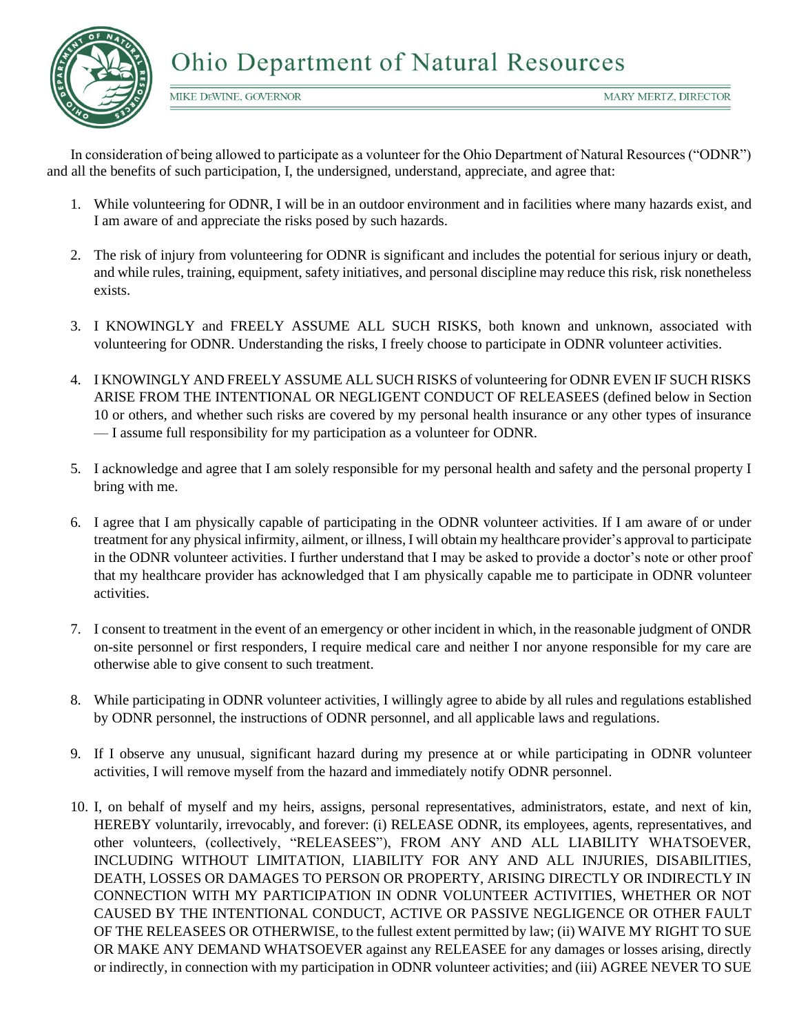

MIKE DEWINE, GOVERNOR

In consideration of being allowed to participate as a volunteer for the Ohio Department of Natural Resources ("ODNR") and all the benefits of such participation, I, the undersigned, understand, appreciate, and agree that:

- 1. While volunteering for ODNR, I will be in an outdoor environment and in facilities where many hazards exist, and I am aware of and appreciate the risks posed by such hazards.
- 2. The risk of injury from volunteering for ODNR is significant and includes the potential for serious injury or death, and while rules, training, equipment, safety initiatives, and personal discipline may reduce this risk, risk nonetheless exists.
- 3. I KNOWINGLY and FREELY ASSUME ALL SUCH RISKS, both known and unknown, associated with volunteering for ODNR. Understanding the risks, I freely choose to participate in ODNR volunteer activities.
- 4. I KNOWINGLY AND FREELY ASSUME ALL SUCH RISKS of volunteering for ODNR EVEN IF SUCH RISKS ARISE FROM THE INTENTIONAL OR NEGLIGENT CONDUCT OF RELEASEES (defined below in Section 10 or others, and whether such risks are covered by my personal health insurance or any other types of insurance — I assume full responsibility for my participation as a volunteer for ODNR.
- 5. I acknowledge and agree that I am solely responsible for my personal health and safety and the personal property I bring with me.
- 6. I agree that I am physically capable of participating in the ODNR volunteer activities. If I am aware of or under treatment for any physical infirmity, ailment, or illness, I will obtain my healthcare provider's approval to participate in the ODNR volunteer activities. I further understand that I may be asked to provide a doctor's note or other proof that my healthcare provider has acknowledged that I am physically capable me to participate in ODNR volunteer activities.
- 7. I consent to treatment in the event of an emergency or other incident in which, in the reasonable judgment of ONDR on-site personnel or first responders, I require medical care and neither I nor anyone responsible for my care are otherwise able to give consent to such treatment.
- 8. While participating in ODNR volunteer activities, I willingly agree to abide by all rules and regulations established by ODNR personnel, the instructions of ODNR personnel, and all applicable laws and regulations.
- 9. If I observe any unusual, significant hazard during my presence at or while participating in ODNR volunteer activities, I will remove myself from the hazard and immediately notify ODNR personnel.
- 10. I, on behalf of myself and my heirs, assigns, personal representatives, administrators, estate, and next of kin, HEREBY voluntarily, irrevocably, and forever: (i) RELEASE ODNR, its employees, agents, representatives, and other volunteers, (collectively, "RELEASEES"), FROM ANY AND ALL LIABILITY WHATSOEVER, INCLUDING WITHOUT LIMITATION, LIABILITY FOR ANY AND ALL INJURIES, DISABILITIES, DEATH, LOSSES OR DAMAGES TO PERSON OR PROPERTY, ARISING DIRECTLY OR INDIRECTLY IN CONNECTION WITH MY PARTICIPATION IN ODNR VOLUNTEER ACTIVITIES, WHETHER OR NOT CAUSED BY THE INTENTIONAL CONDUCT, ACTIVE OR PASSIVE NEGLIGENCE OR OTHER FAULT OF THE RELEASEES OR OTHERWISE, to the fullest extent permitted by law; (ii) WAIVE MY RIGHT TO SUE OR MAKE ANY DEMAND WHATSOEVER against any RELEASEE for any damages or losses arising, directly or indirectly, in connection with my participation in ODNR volunteer activities; and (iii) AGREE NEVER TO SUE